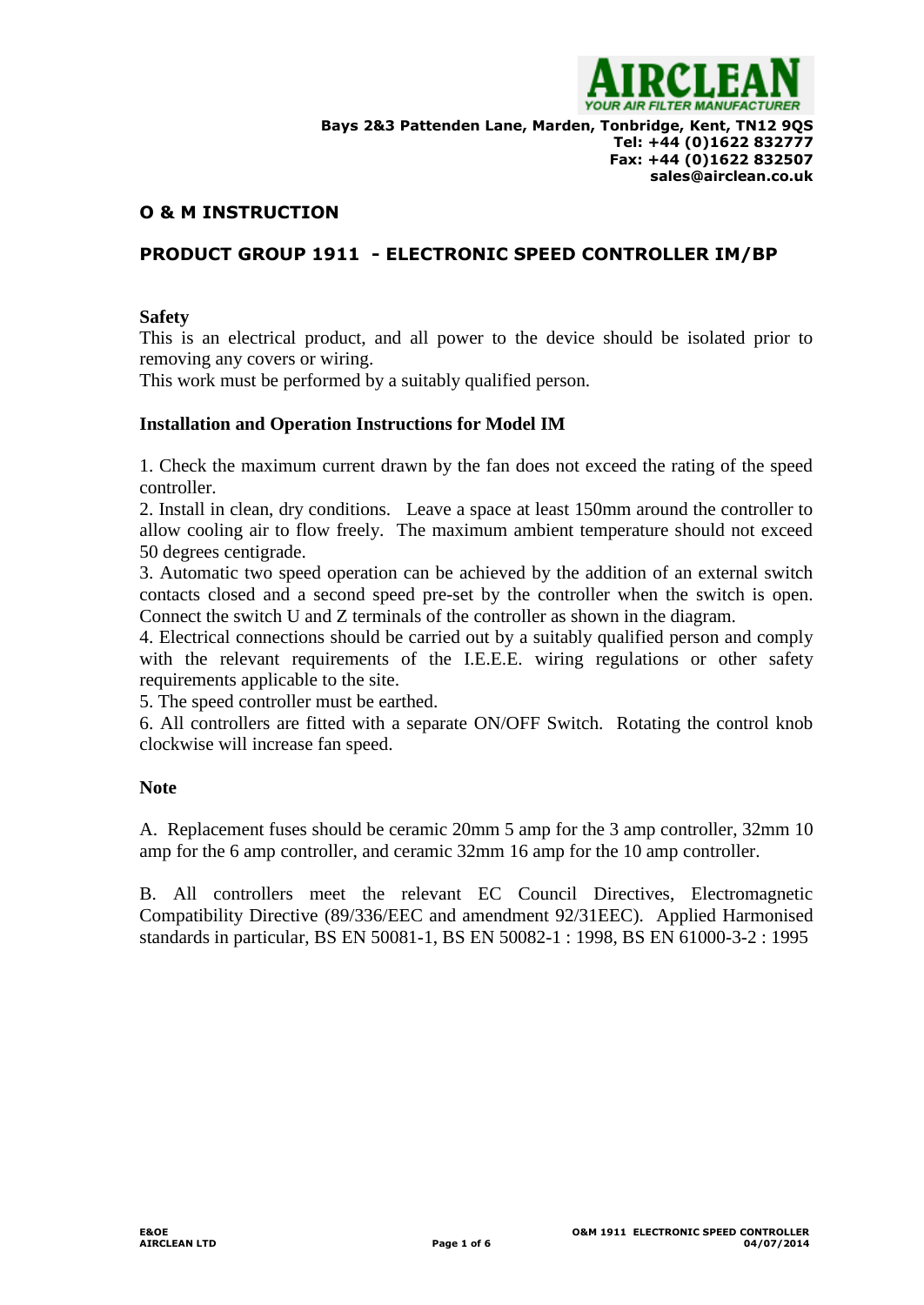

# **O & M INSTRUCTION**

# **PRODUCT GROUP 1911 - ELECTRONIC SPEED CONTROLLER IM/BP**

#### **Safety**

This is an electrical product, and all power to the device should be isolated prior to removing any covers or wiring.

This work must be performed by a suitably qualified person.

#### **Installation and Operation Instructions for Model IM**

1. Check the maximum current drawn by the fan does not exceed the rating of the speed controller.

2. Install in clean, dry conditions. Leave a space at least 150mm around the controller to allow cooling air to flow freely. The maximum ambient temperature should not exceed 50 degrees centigrade.

3. Automatic two speed operation can be achieved by the addition of an external switch contacts closed and a second speed pre-set by the controller when the switch is open. Connect the switch U and Z terminals of the controller as shown in the diagram.

4. Electrical connections should be carried out by a suitably qualified person and comply with the relevant requirements of the I.E.E.E. wiring regulations or other safety requirements applicable to the site.

5. The speed controller must be earthed.

6. All controllers are fitted with a separate ON/OFF Switch. Rotating the control knob clockwise will increase fan speed.

## **Note**

A. Replacement fuses should be ceramic 20mm 5 amp for the 3 amp controller, 32mm 10 amp for the 6 amp controller, and ceramic 32mm 16 amp for the 10 amp controller.

B. All controllers meet the relevant EC Council Directives, Electromagnetic Compatibility Directive (89/336/EEC and amendment 92/31EEC). Applied Harmonised standards in particular, BS EN 50081-1, BS EN 50082-1 : 1998, BS EN 61000-3-2 : 1995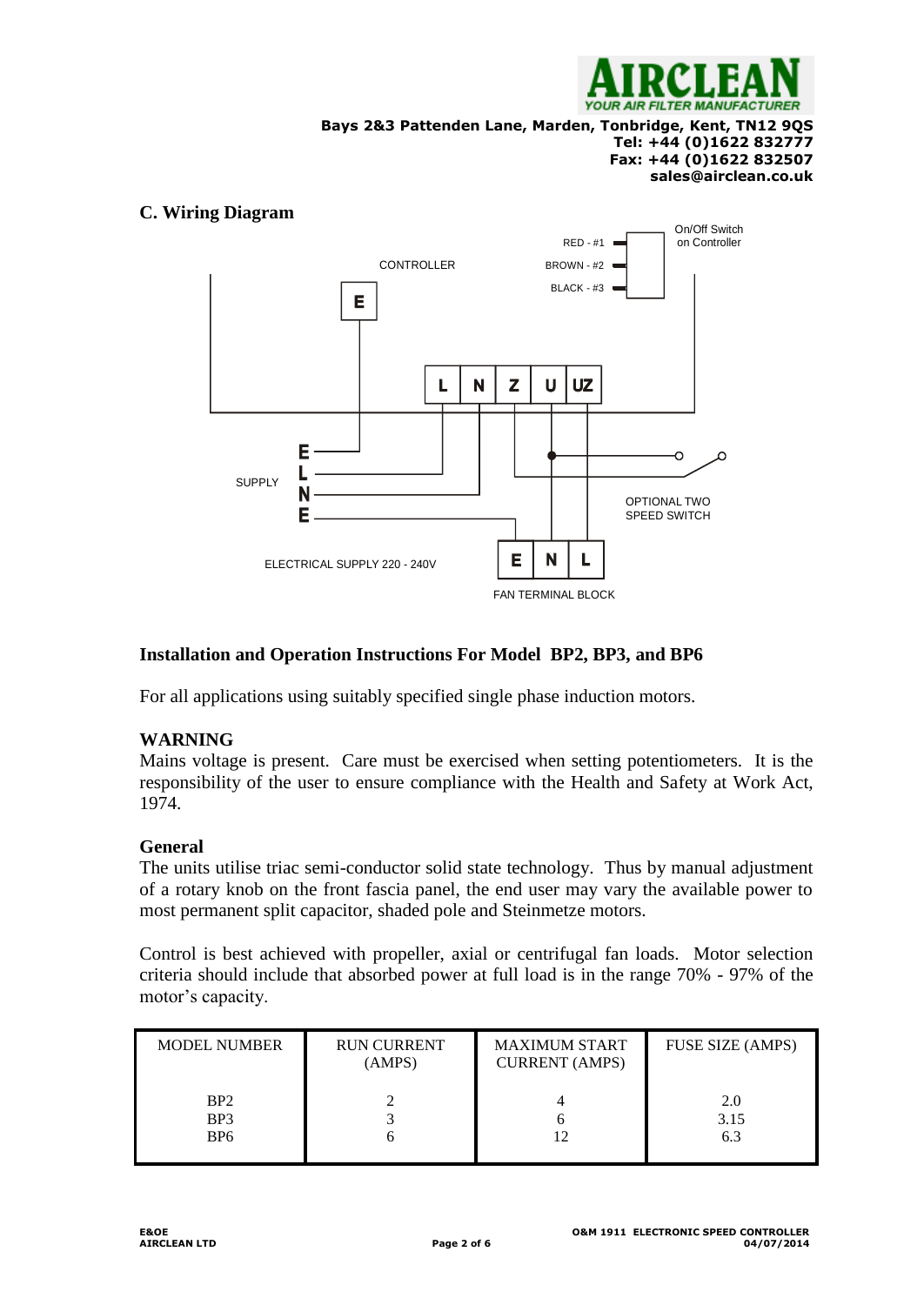

**Bays 2&3 Pattenden Lane, Marden, Tonbridge, Kent, TN12 9QS**

#### **Tel: +44 (0)1622 832777 Fax: +44 (0)1622 832507 sales@airclean.co.uk**

## **C. Wiring Diagram**



# **Installation and Operation Instructions For Model BP2, BP3, and BP6**

For all applications using suitably specified single phase induction motors.

# **WARNING**

Mains voltage is present. Care must be exercised when setting potentiometers. It is the responsibility of the user to ensure compliance with the Health and Safety at Work Act, 1974.

## **General**

The units utilise triac semi-conductor solid state technology. Thus by manual adjustment of a rotary knob on the front fascia panel, the end user may vary the available power to most permanent split capacitor, shaded pole and Steinmetze motors.

Control is best achieved with propeller, axial or centrifugal fan loads. Motor selection criteria should include that absorbed power at full load is in the range 70% - 97% of the motor's capacity.

| <b>MODEL NUMBER</b>                                   | <b>RUN CURRENT</b><br>(AMPS) | <b>MAXIMUM START</b><br><b>CURRENT</b> (AMPS) | FUSE SIZE (AMPS)   |
|-------------------------------------------------------|------------------------------|-----------------------------------------------|--------------------|
| BP <sub>2</sub><br>BP <sub>3</sub><br>B <sub>P6</sub> |                              | n                                             | 2.0<br>3.15<br>6.3 |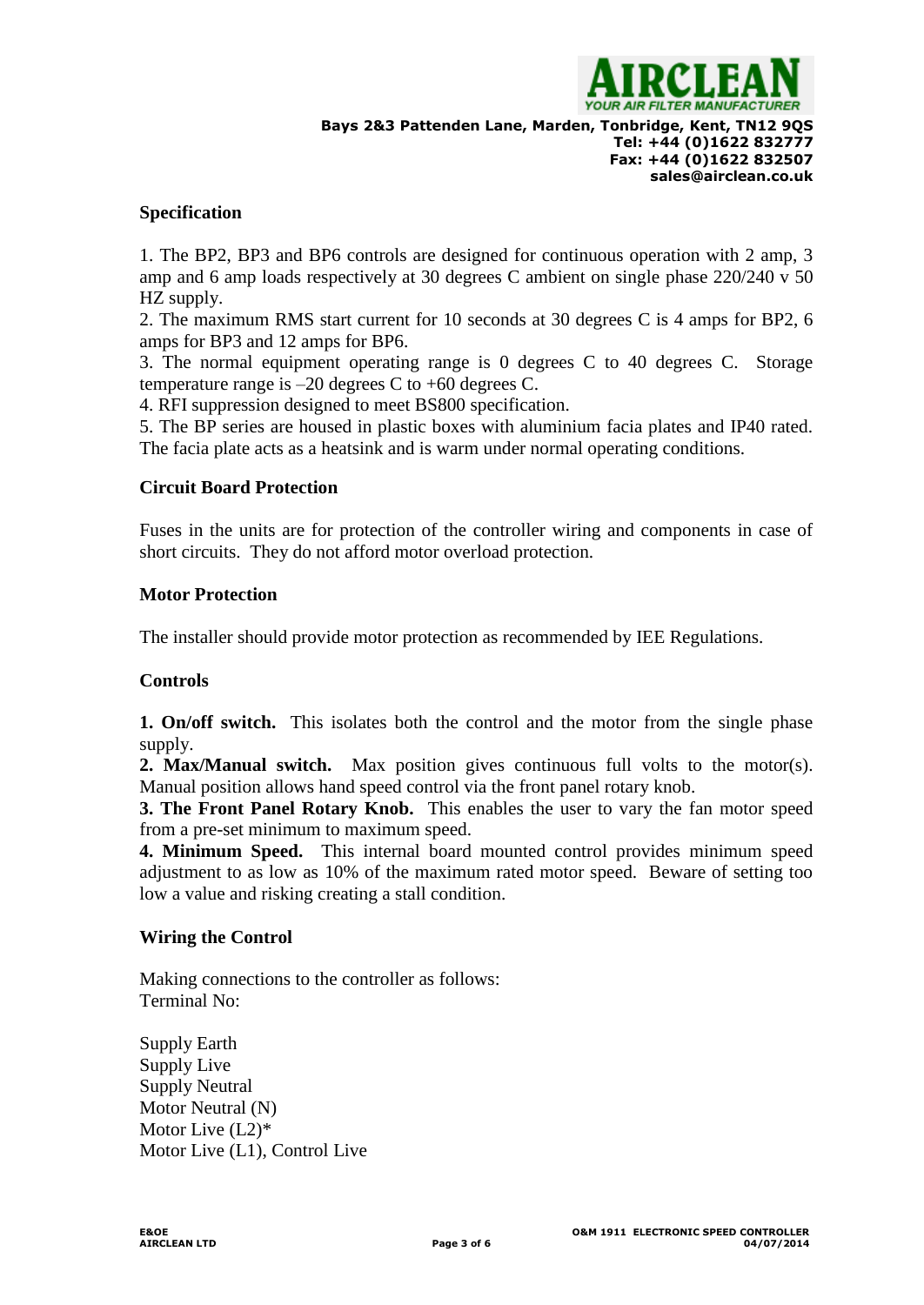

**Bays 2&3 Pattenden Lane, Marden, Tonbridge, Kent, TN12 9QS Tel: +44 (0)1622 832777 Fax: +44 (0)1622 832507 sales@airclean.co.uk**

## **Specification**

1. The BP2, BP3 and BP6 controls are designed for continuous operation with 2 amp, 3 amp and 6 amp loads respectively at 30 degrees C ambient on single phase 220/240 v 50 HZ supply.

2. The maximum RMS start current for 10 seconds at 30 degrees C is 4 amps for BP2, 6 amps for BP3 and 12 amps for BP6.

3. The normal equipment operating range is 0 degrees C to 40 degrees C. Storage temperature range is  $-20$  degrees C to  $+60$  degrees C.

4. RFI suppression designed to meet BS800 specification.

5. The BP series are housed in plastic boxes with aluminium facia plates and IP40 rated. The facia plate acts as a heatsink and is warm under normal operating conditions.

## **Circuit Board Protection**

Fuses in the units are for protection of the controller wiring and components in case of short circuits. They do not afford motor overload protection.

#### **Motor Protection**

The installer should provide motor protection as recommended by IEE Regulations.

#### **Controls**

**1. On/off switch.** This isolates both the control and the motor from the single phase supply.

**2. Max/Manual switch.** Max position gives continuous full volts to the motor(s). Manual position allows hand speed control via the front panel rotary knob.

**3. The Front Panel Rotary Knob.** This enables the user to vary the fan motor speed from a pre-set minimum to maximum speed.

**4. Minimum Speed.** This internal board mounted control provides minimum speed adjustment to as low as 10% of the maximum rated motor speed. Beware of setting too low a value and risking creating a stall condition.

#### **Wiring the Control**

Making connections to the controller as follows: Terminal No:

Supply Earth Supply Live Supply Neutral Motor Neutral (N) Motor Live (L2)\* Motor Live (L1), Control Live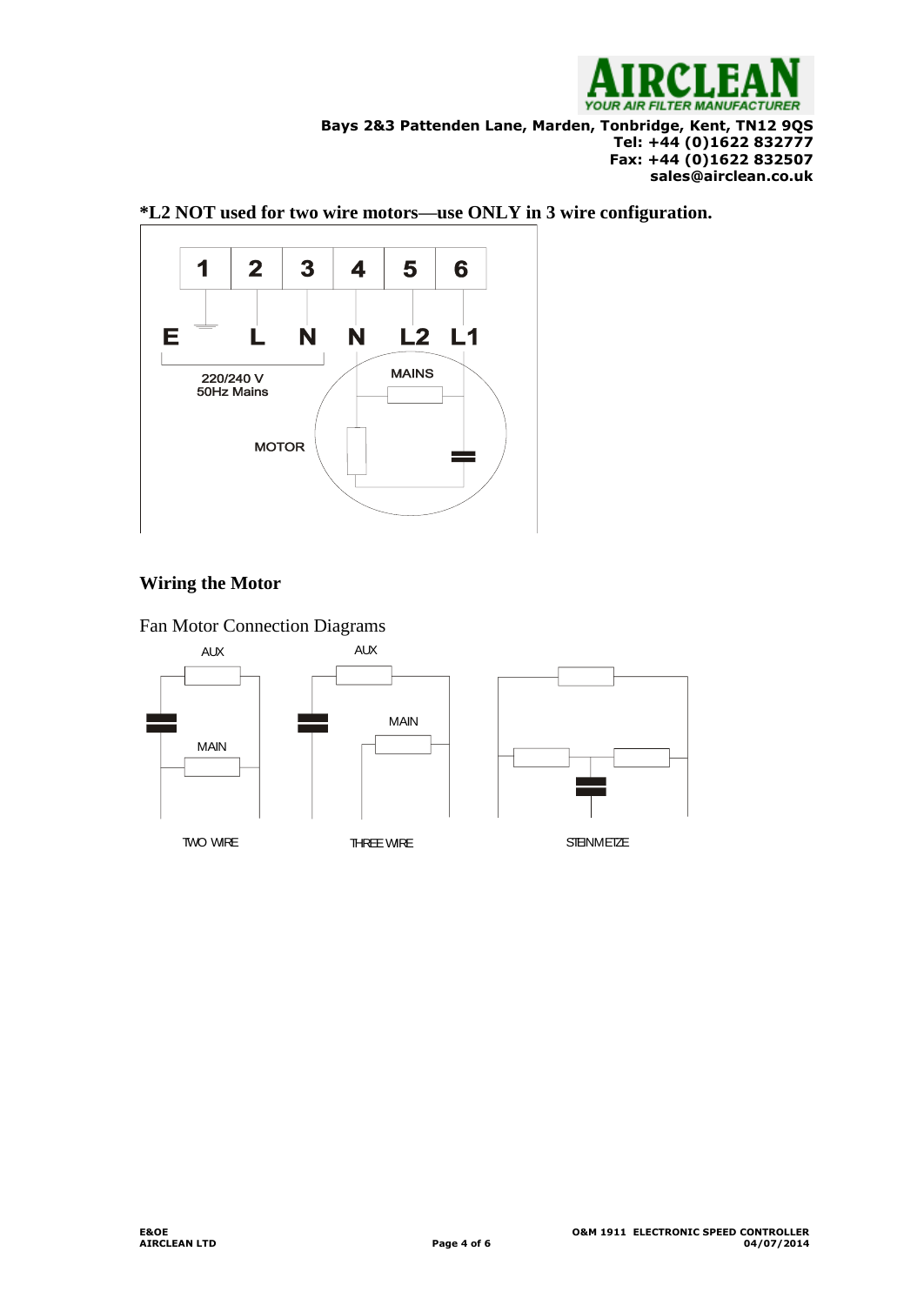

**Bays 2&3 Pattenden Lane, Marden, Tonbridge, Kent, TN12 9QS**

#### **Tel: +44 (0)1622 832777 Fax: +44 (0)1622 832507 sales@airclean.co.uk**



## **\*L2 NOT used for two wire motors—use ONLY in 3 wire configuration.**

# **Wiring the Motor**

Fan Motor Connection Diagrams

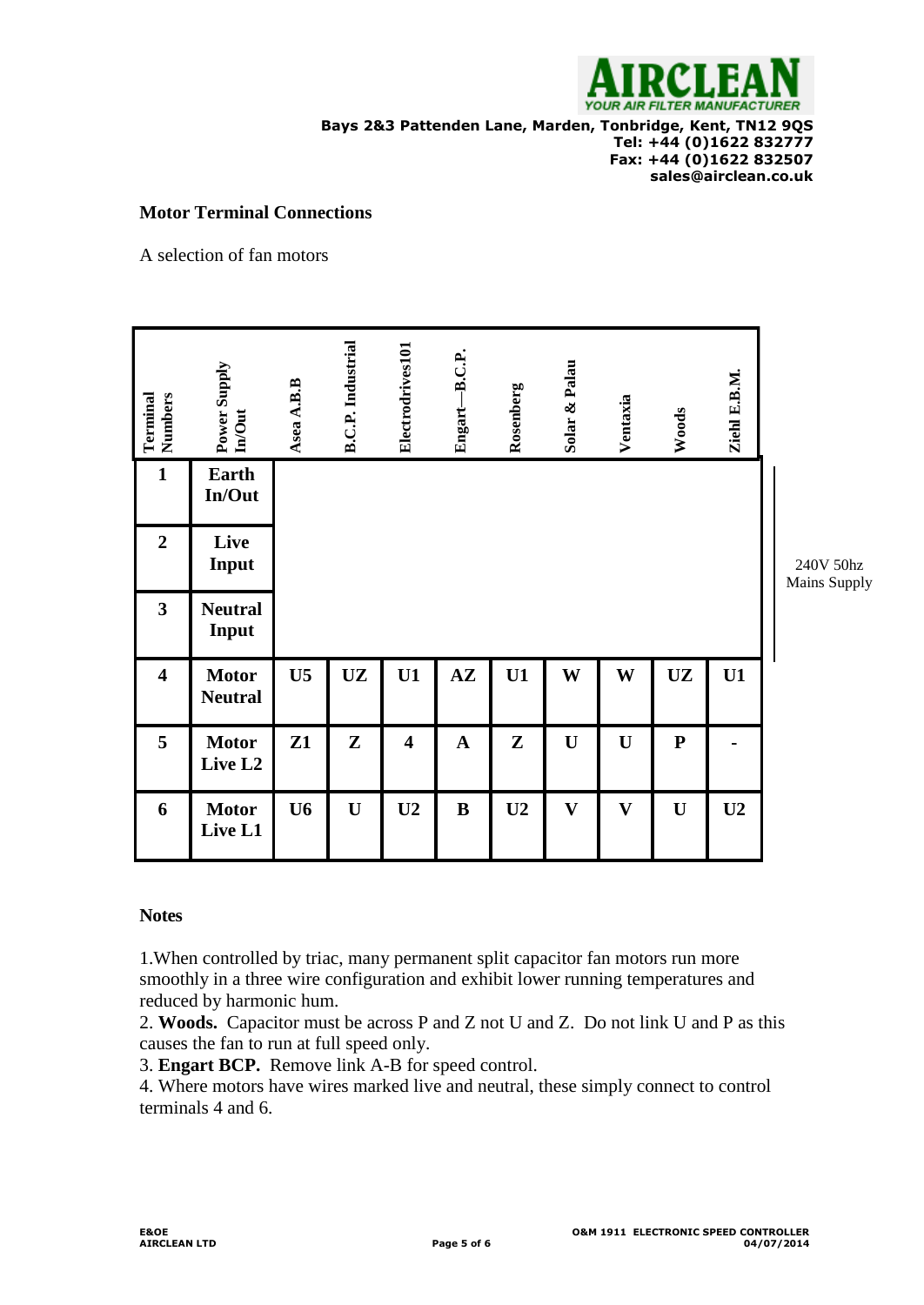

**Bays 2&3 Pattenden Lane, Marden, Tonbridge, Kent, TN12 9QS Tel: +44 (0)1622 832777 Fax: +44 (0)1622 832507 sales@airclean.co.uk**

#### **Motor Terminal Connections**

A selection of fan motors

| Terminal<br>Numbers     | Power Supply<br><b>In/Out</b>                                                                                                                                                                                                                                                                                                                                                                                                                                                                          | Asea A.B.B     | <b>B.C.P.</b> Industrial | Electrodrives101        | Engart-B.C.P. | Rosenberg      | Solar & Palau | Ventaxia     | Woods       | Ziehl E.B.M.   |                           |
|-------------------------|--------------------------------------------------------------------------------------------------------------------------------------------------------------------------------------------------------------------------------------------------------------------------------------------------------------------------------------------------------------------------------------------------------------------------------------------------------------------------------------------------------|----------------|--------------------------|-------------------------|---------------|----------------|---------------|--------------|-------------|----------------|---------------------------|
| $\mathbf{1}$            | Earth<br>In/Out                                                                                                                                                                                                                                                                                                                                                                                                                                                                                        |                |                          |                         |               |                |               |              |             |                |                           |
| $\overline{2}$          | Live<br>Input                                                                                                                                                                                                                                                                                                                                                                                                                                                                                          |                |                          |                         |               |                |               |              |             |                | 240V 50hz<br>Mains Supply |
| $\overline{\mathbf{3}}$ | <b>Neutral</b><br>Input                                                                                                                                                                                                                                                                                                                                                                                                                                                                                |                |                          |                         |               |                |               |              |             |                |                           |
| $\overline{\mathbf{4}}$ | <b>Motor</b><br><b>Neutral</b>                                                                                                                                                                                                                                                                                                                                                                                                                                                                         | U <sub>5</sub> | <b>UZ</b>                | U1                      | $A\mathbf{Z}$ | U1             | W             | W            | <b>UZ</b>   | U1             |                           |
| 5                       | <b>Motor</b><br>Live L2                                                                                                                                                                                                                                                                                                                                                                                                                                                                                | Z1             | ${\bf Z}$                | $\overline{\mathbf{4}}$ | $\mathbf A$   | ${\bf z}$      | $\mathbf U$   | $\mathbf U$  | ${\bf P}$   |                |                           |
| 6                       | <b>Motor</b><br>Live L1                                                                                                                                                                                                                                                                                                                                                                                                                                                                                | U <sub>6</sub> | $\mathbf U$              | U <sub>2</sub>          | $\bf{B}$      | U <sub>2</sub> | $\mathbf{V}$  | $\mathbf{V}$ | $\mathbf U$ | U <sub>2</sub> |                           |
| <b>Notes</b>            | 1. When controlled by triac, many permanent split capacitor fan motors run more<br>smoothly in a three wire configuration and exhibit lower running temperatures and<br>reduced by harmonic hum.<br>2. Woods. Capacitor must be across P and Z not U and Z. Do not link U and P as this<br>causes the fan to run at full speed only.<br>3. Engart BCP. Remove link A-B for speed control.<br>4. Where motors have wires marked live and neutral, these simply connect to control<br>terminals 4 and 6. |                |                          |                         |               |                |               |              |             |                |                           |